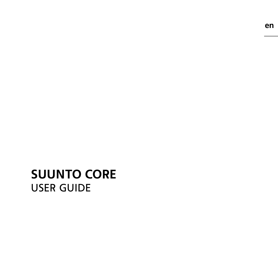# **SUUNTO CORE**  USER GUIDE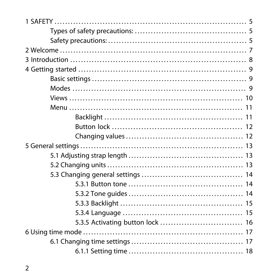| 5.3.5 Activating button lock  16 |
|----------------------------------|
|                                  |
|                                  |
|                                  |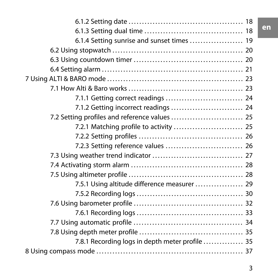| 7.5.1 Using altitude difference measurer  29    |
|-------------------------------------------------|
|                                                 |
|                                                 |
|                                                 |
|                                                 |
|                                                 |
| 7.8.1 Recording logs in depth meter profile  35 |
|                                                 |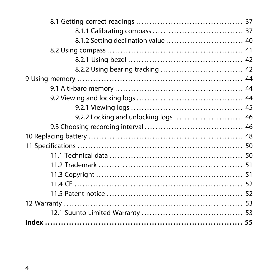| 9.2.2 Locking and unlocking logs  46 |  |
|--------------------------------------|--|
|                                      |  |
|                                      |  |
|                                      |  |
|                                      |  |
|                                      |  |
|                                      |  |
|                                      |  |
|                                      |  |
|                                      |  |
|                                      |  |
|                                      |  |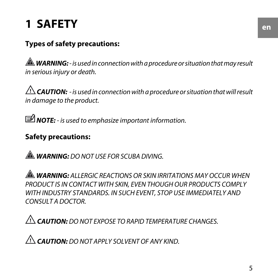# <span id="page-4-0"></span>**1 SAFETY**

### <span id="page-4-1"></span>**Types of safety precautions:**

 *WARNING:* - is used in connection with a procedure or situation that may result in serious injury or death.

 $\triangle$  **CAUTION:** - is used in connection with a procedure or situation that will result in damage to the product.

<span id="page-4-2"></span>*MOTE:* - is used to emphasize important information.

### **Safety precautions:**

 *WARNING:* DO NOT USE FOR SCUBA DIVING.

 *WARNING:* ALLERGIC REACTIONS OR SKIN IRRITATIONS MAY OCCUR WHEN PRODUCT IS IN CONTACT WITH SKIN, EVEN THOUGH OUR PRODUCTS COMPLY WITH INDUSTRY STANDARDS. IN SUCH EVENT, STOP USE IMMEDIATELY AND CONSULT A DOCTOR.

 *CAUTION:* DO NOT EXPOSE TO RAPID TEMPERATURE CHANGES.

 *CAUTION:* DO NOT APPLY SOLVENT OF ANY KIND.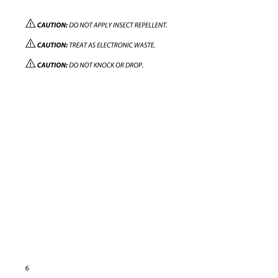*CAUTION:* DO NOT APPLY INSECT REPELLENT.

 *CAUTION:* TREAT AS ELECTRONIC WASTE.

 *CAUTION:* DO NOT KNOCK OR DROP.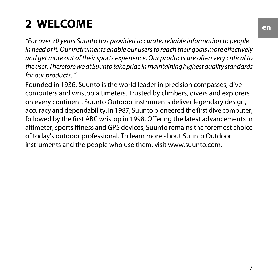# <span id="page-6-0"></span>**2 WELCOME**

"For over 70 years Suunto has provided accurate, reliable information to people in need of it. Our instruments enable our users to reach their goals more effectively and get more out of their sports experience. Our products are often very critical to the user. Therefore we at Suunto take pride in maintaining highest quality standards for our products. "

Founded in 1936, Suunto is the world leader in precision compasses, dive computers and wristop altimeters. Trusted by climbers, divers and explorers on every continent, Suunto Outdoor instruments deliver legendary design, accuracy and dependability. In 1987, Suunto pioneered the first dive computer, followed by the first ABC wristop in 1998. Offering the latest advancements in altimeter, sports fitness and GPS devices, Suunto remains the foremost choice of today's outdoor professional. To learn more about Suunto Outdoor instruments and the people who use them, visit www.suunto.com.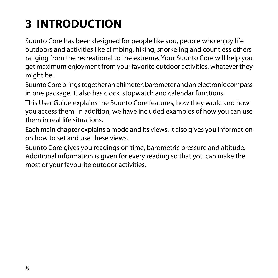# <span id="page-7-0"></span>**3 INTRODUCTION**

Suunto Core has been designed for people like you, people who enjoy life outdoors and activities like climbing, hiking, snorkeling and countless others ranging from the recreational to the extreme. Your Suunto Core will help you get maximum enjoyment from your favorite outdoor activities, whatever they might be.

Suunto Core brings together an altimeter, barometer and an electronic compass in one package. It also has clock, stopwatch and calendar functions.

This User Guide explains the Suunto Core features, how they work, and how you access them. In addition, we have included examples of how you can use them in real life situations.

Each main chapter explains a mode and its views. It also gives you information on how to set and use these views.

Suunto Core gives you readings on time, barometric pressure and altitude. Additional information is given for every reading so that you can make the most of your favourite outdoor activities.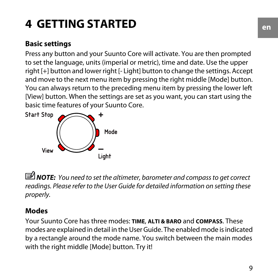# <span id="page-8-0"></span>**4 GETTING STARTED**

### <span id="page-8-1"></span>**Basic settings**

Press any button and your Suunto Core will activate. You are then prompted to set the language, units (imperial or metric), time and date. Use the upper right [+] button and lower right [- Light] button to change the settings. Accept and move to the next menu item by pressing the right middle [Mode] button. You can always return to the preceding menu item by pressing the lower left [View] button. When the settings are set as you want, you can start using the basic time features of your Suunto Core.



<span id="page-8-2"></span>*MOTE:* You need to set the altimeter, barometer and compass to get correct readings. Please refer to the User Guide for detailed information on setting these properly.

### **Modes**

Your Suunto Core has three modes: **TIME**, **ALTI & BARO** and **COMPASS**. These modes are explained in detail in the User Guide. The enabled mode is indicated by a rectangle around the mode name. You switch between the main modes with the right middle [Mode] button. Try it!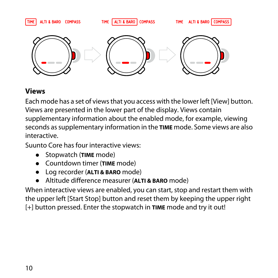

#### <span id="page-9-0"></span>**Views**

Each mode has a set of views that you access with the lower left [View] button. Views are presented in the lower part of the display. Views contain supplementary information about the enabled mode, for example, viewing seconds as supplementary information in the **TIME** mode. Some views are also interactive.

Suunto Core has four interactive views:

- Stopwatch (**TIME** mode)
- Countdown timer (**TIME** mode)
- Log recorder (**ALTI & BARO** mode)
- Altitude difference measurer (**ALTI & BARO** mode)

When interactive views are enabled, you can start, stop and restart them with the upper left [Start Stop] button and reset them by keeping the upper right [+] button pressed. Enter the stopwatch in **TIME** mode and try it out!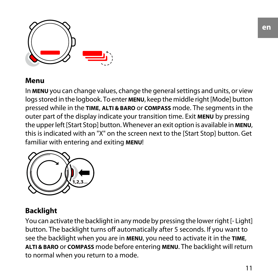

#### <span id="page-10-0"></span>**Menu**

In **MENU** you can change values, change the general settings and units, or view logs stored in the logbook. To enter **MENU**, keep the middle right [Mode] button pressed while in the **TIME**, **ALTI & BARO** or **COMPASS** mode. The segments in the outer part of the display indicate your transition time. Exit **MENU** by pressing the upper left [Start Stop] button. Whenever an exit option is available in **MENU**, this is indicated with an "X" on the screen next to the [Start Stop] button. Get familiar with entering and exiting **MENU**!



### <span id="page-10-1"></span>**Backlight**

You can activate the backlight in any mode by pressing the lower right [- Light] button. The backlight turns off automatically after 5 seconds. If you want to see the backlight when you are in **MENU**, you need to activate it in the **TIME**, **ALTI & BARO** or **COMPASS** mode before entering **MENU**. The backlight will return to normal when you return to a mode.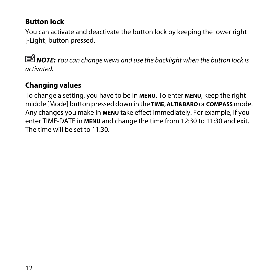#### <span id="page-11-0"></span>**Button lock**

You can activate and deactivate the button lock by keeping the lower right [-Light] button pressed.

 *NOTE:* You can change views and use the backlight when the button lock is activated.

### <span id="page-11-1"></span>**Changing values**

To change a setting, you have to be in **MENU**. To enter **MENU**, keep the right middle [Mode] button pressed down in the **TIME**, **ALTI&BARO** or **COMPASS** mode. Any changes you make in **MENU** take effect immediately. For example, if you enter TIME-DATE in **MENU** and change the time from 12:30 to 11:30 and exit. The time will be set to 11:30.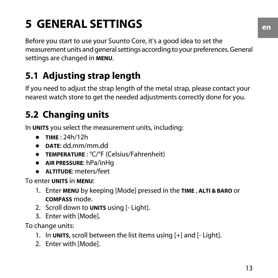# <span id="page-12-0"></span>**5 GENERAL SETTINGS**

<span id="page-12-4"></span>Before you start to use your Suunto Core, it's a good idea to set the measurement units and general settings according to your preferences. General settings are changed in **MENU**.

# <span id="page-12-5"></span><span id="page-12-1"></span>**5.1 Adjusting strap length**

<span id="page-12-2"></span>If you need to adjust the strap length of the metal strap, please contact your nearest watch store to get the needed adjustments correctly done for you.

# <span id="page-12-3"></span>**5.2 Changing units**

In **UNITS** you select the measurement units, including:

- **TIME** : 24h/12h
- **DATE**: dd.mm/mm.dd
- **TEMPERATURE** : °C/°F (Celsius/Fahrenheit)
- **AIR PRESSURE**: hPa/inHg
- **ALTITUDE**: meters/feet

To enter **UNITS** in **MENU**:

- 1. Enter **MENU** by keeping [Mode] pressed in the **TIME** , **ALTI & BARO** or **COMPASS** mode.
- 2. Scroll down to **UNITS** using [- Light].
- 3. Enter with [Mode].

To change units:

- 1. In **UNITS**, scroll between the list items using [+] and [- Light].
- 2. Enter with [Mode].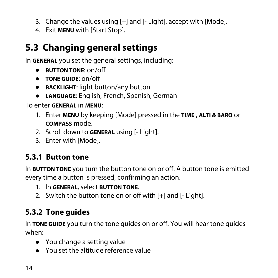- 3. Change the values using [+] and [- Light], accept with [Mode].
- 4. Exit **MENU** with [Start Stop].

# <span id="page-13-0"></span>**5.3 Changing general settings**

In **GENERAL** you set the general settings, including:

- **BUTTON TONE**: on/off
- **TONE GUIDE**: on/off
- **BACKLIGHT**: light button/any button
- **LANGUAGE**: English, French, Spanish, German

To enter **GENERAL** in **MENU**:

- 1. Enter **MENU** by keeping [Mode] pressed in the **TIME** , **ALTI & BARO** or **COMPASS** mode.
- <span id="page-13-1"></span>2. Scroll down to **GENERAL** using [- Light].
- 3. Enter with [Mode].

### <span id="page-13-3"></span>**5.3.1 Button tone**

In **BUTTON TONE** you turn the button tone on or off. A button tone is emitted every time a button is pressed, confirming an action.

- <span id="page-13-2"></span>1. In **GENERAL**, select **BUTTON TONE**.
- 2. Switch the button tone on or off with [+] and [- Light].

## <span id="page-13-4"></span>**5.3.2 Tone guides**

In **TONE GUIDE** you turn the tone guides on or off. You will hear tone guides when:

- You change a setting value
- You set the altitude reference value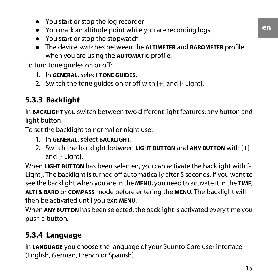- You start or stop the log recorder
- You mark an altitude point while you are recording logs
- You start or stop the stopwatch
- The device switches between the **ALTIMETER** and **BAROMETER** profile when you are using the **AUTOMATIC** profile.

To turn tone guides on or off:

- 1. In **GENERAL**, select **TONE GUIDES**.
- <span id="page-14-0"></span>2. Switch the tone quides on or off with [+] and [- Light].

### <span id="page-14-2"></span>**5.3.3 Backlight**

In **BACKLIGHT** you switch between two different light features: any button and light button.

To set the backlight to normal or night use:

- 1. In **GENERAL**, select **BACKLIGHT**.
- 2. Switch the backlight between **LIGHT BUTTON** and **ANY BUTTON** with [+] and [- Light].

When **LIGHT BUTTON** has been selected, you can activate the backlight with [- Light]. The backlight is turned off automatically after 5 seconds. If you want to see the backlight when you are in the **MENU**, you need to activate it in the **TIME**, **ALTI & BARO** or **COMPASS** mode before entering the **MENU**. The backlight will then be activated until you exit **MENU**.

<span id="page-14-3"></span><span id="page-14-1"></span>When **ANY BUTTON** has been selected, the backlight is activated every time you push a button.

### **5.3.4 Language**

In **LANGUAGE** you choose the language of your Suunto Core user interface (English, German, French or Spanish).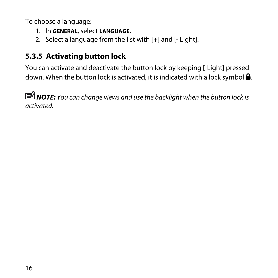To choose a language:

- 1. In **GENERAL**, select **LANGUAGE**.
- 2. Select a language from the list with [+] and [- Light].

### <span id="page-15-1"></span><span id="page-15-0"></span>**5.3.5 Activating button lock**

You can activate and deactivate the button lock by keeping [-Light] pressed down. When the button lock is activated, it is indicated with a lock symbol  $\triangle$ .

 *NOTE:* You can change views and use the backlight when the button lock is activated.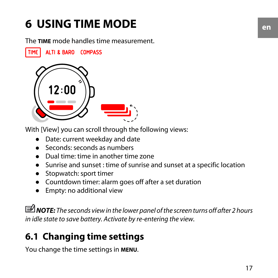# <span id="page-16-0"></span>**6 USING TIME MODE**

<span id="page-16-3"></span>The **TIME** mode handles time measurement.

**TIME** ALTI & BARO COMPASS



With [View] you can scroll through the following views:

- Date: current weekday and date
- Seconds: seconds as numbers
- Dual time: time in another time zone
- Sunrise and sunset : time of sunrise and sunset at a specific location
- Stopwatch: sport timer
- Countdown timer: alarm goes off after a set duration
- Empty: no additional view

<span id="page-16-1"></span> *NOTE:* The seconds view in the lower panel of the screen turns off after 2 hours in idle state to save battery. Activate by re-entering the view.

# <span id="page-16-2"></span>**6.1 Changing time settings**

You change the time settings in **MENU**.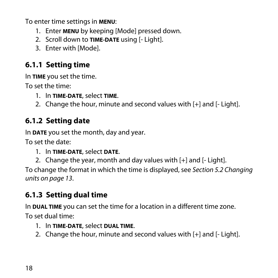To enter time settings in **MENU**:

- 1. Enter **MENU** by keeping [Mode] pressed down.
- 2. Scroll down to **TIME-DATE** using [- Light].
- 3. Enter with [Mode].

### <span id="page-17-5"></span><span id="page-17-0"></span>**6.1.1 Setting time**

In **TIME** you set the time.

To set the time:

- 1. In **TIME-DATE**, select **TIME**.
- <span id="page-17-1"></span>2. Change the hour, minute and second values with [+] and [- Light].

### <span id="page-17-3"></span>**6.1.2 Setting date**

In **DATE** you set the month, day and year.

To set the date:

- 1. In **TIME-DATE**, select **DATE**.
- 2. Change the year, month and day values with [+] and [- Light].

<span id="page-17-2"></span>To change the format in which the time is displayed, see [Section 5.2 Changing](#page-12-2) [units on page 13](#page-12-2).

### <span id="page-17-4"></span>**6.1.3 Setting dual time**

In **DUAL TIME** you can set the time for a location in a different time zone.

To set dual time:

- 1. In **TIME-DATE**, select **DUAL TIME**.
- 2. Change the hour, minute and second values with [+] and [- Light].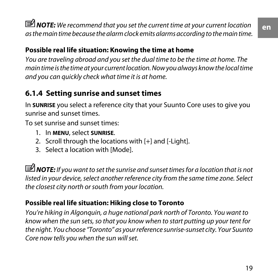*MOTE:* We recommend that you set the current time at your current location as the main time because the alarm clock emits alarms according to the main time.

#### **Possible real life situation: Knowing the time at home**

You are traveling abroad and you set the dual time to be the time at home. The main time is the time at your current location. Now you always know the local time and you can quickly check what time it is at home.

### <span id="page-18-1"></span><span id="page-18-0"></span>**6.1.4 Setting sunrise and sunset times**

In **SUNRISE** you select a reference city that your Suunto Core uses to give you sunrise and sunset times.

To set sunrise and sunset times:

- 1. In **MENU**, select **SUNRISE**.
- 2. Scroll through the locations with [+] and [-Light].
- 3. Select a location with [Mode].

*MOTE:* If you want to set the sunrise and sunset times for a location that is not listed in your device, select another reference city from the same time zone. Select the closest city north or south from your location.

### **Possible real life situation: Hiking close to Toronto**

You're hiking in Algonquin, a huge national park north of Toronto. You want to know when the sun sets, so that you know when to start putting up your tent for the night. You choose "Toronto" as your reference sunrise-sunset city. Your Suunto Core now tells you when the sun will set.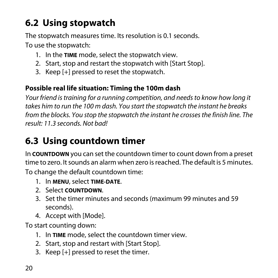# <span id="page-19-0"></span>**6.2 Using stopwatch**

<span id="page-19-3"></span>The stopwatch measures time. Its resolution is 0.1 seconds. To use the stopwatch:

- 1. In the **TIME** mode, select the stopwatch view.
- 2. Start, stop and restart the stopwatch with [Start Stop].
- 3. Keep [+] pressed to reset the stopwatch.

#### **Possible real life situation: Timing the 100m dash**

Your friend is training for a running competition, and needs to know how long it takes him to run the 100 m dash. You start the stopwatch the instant he breaks from the blocks. You stop the stopwatch the instant he crosses the finish line. The result: 11.3 seconds. Not bad!

## <span id="page-19-2"></span><span id="page-19-1"></span>**6.3 Using countdown timer**

In **COUNTDOWN** you can set the countdown timer to count down from a preset time to zero. It sounds an alarm when zero is reached. The default is 5 minutes.

To change the default countdown time:

- 1. In **MENU**, select **TIME-DATE**.
- 2. Select **COUNTDOWN**.
- 3. Set the timer minutes and seconds (maximum 99 minutes and 59 seconds).
- 4. Accept with [Mode].

To start counting down:

- 1. In **TIME** mode, select the countdown timer view.
- 2. Start, stop and restart with [Start Stop].
- 3. Keep [+] pressed to reset the timer.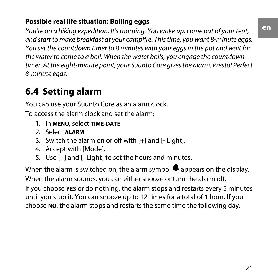#### **Possible real life situation: Boiling eggs**

You're on a hiking expedition. It's morning. You wake up, come out of your tent, and start to make breakfast at your campfire. This time, you want 8-minute eggs. You set the countdown timer to 8 minutes with your eggs in the pot and wait for the water to come to a boil. When the water boils, you engage the countdown timer. At the eight-minute point, your Suunto Core gives the alarm. Presto! Perfect 8-minute eggs.

# <span id="page-20-1"></span><span id="page-20-0"></span>**6.4 Setting alarm**

You can use your Suunto Core as an alarm clock.

To access the alarm clock and set the alarm:

- 1. In **MENU**, select **TIME-DATE**.
- 2. Select **ALARM**.
- 3. Switch the alarm on or off with [+] and [- Light].
- 4. Accept with [Mode].
- 5. Use [+] and [- Light] to set the hours and minutes.

When the alarm is switched on, the alarm symbol  $\clubsuit$  appears on the display. When the alarm sounds, you can either snooze or turn the alarm off. If you choose **YES** or do nothing, the alarm stops and restarts every 5 minutes until you stop it. You can snooze up to 12 times for a total of 1 hour. If you choose **NO**, the alarm stops and restarts the same time the following day.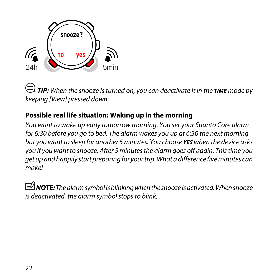

 *TIP:* When the snooze is turned on, you can deactivate it in the *TIME* mode by keeping [View] pressed down.

### **Possible real life situation: Waking up in the morning**

You want to wake up early tomorrow morning. You set your Suunto Core alarm for 6:30 before you go to bed. The alarm wakes you up at 6:30 the next morning but you want to sleep for another 5 minutes. You choose *YES* when the device asks you if you want to snooze. After 5 minutes the alarm goes off again. This time you get up and happily start preparing for your trip. What a difference five minutes can make!

**I NOTE:** The alarm symbol is blinking when the snooze is activated. When snooze is deactivated, the alarm symbol stops to blink.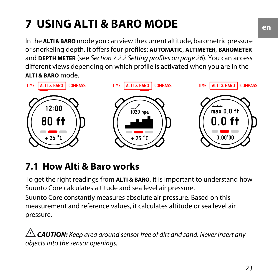# <span id="page-22-0"></span>**7 USING ALTI & BARO MODE**

<span id="page-22-2"></span>In the **ALTI & BARO** mode you can view the current altitude, barometric pressure or snorkeling depth. It offers four profiles: **AUTOMATIC**, **ALTIMETER**, **BAROMETER** and **DEPTH METER** (see [Section 7.2.2 Setting profiles on page 26](#page-25-0)). You can access different views depending on which profile is activated when you are in the **ALTI & BARO** mode.



## <span id="page-22-1"></span>**7.1 How Alti & Baro works**

To get the right readings from **ALTI & BARO**, it is important to understand how Suunto Core calculates altitude and sea level air pressure. Suunto Core constantly measures absolute air pressure. Based on this measurement and reference values, it calculates altitude or sea level air pressure.

 *CAUTION:* Keep area around sensor free of dirt and sand. Never insert any objects into the sensor openings.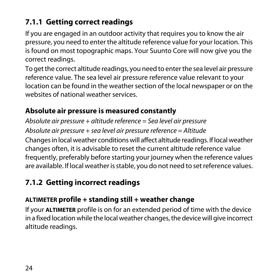### <span id="page-23-0"></span>**7.1.1 Getting correct readings**

<span id="page-23-3"></span>If you are engaged in an outdoor activity that requires you to know the air pressure, you need to enter the altitude reference value for your location. This is found on most topographic maps. Your Suunto Core will now give you the correct readings.

To get the correct altitude readings, you need to enter the sea level air pressure reference value. The sea level air pressure reference value relevant to your location can be found in the weather section of the local newspaper or on the websites of national weather services.

### **Absolute air pressure is measured constantly**

Absolute air pressure + altitude reference = Sea level air pressure

Absolute air pressure + sea level air pressure reference = Altitude Changes in local weather conditions will affect altitude readings. If local weather changes often, it is advisable to reset the current altitude reference value frequently, preferably before starting your journey when the reference values are available. If local weather is stable, you do not need to set reference values.

## <span id="page-23-2"></span><span id="page-23-1"></span>**7.1.2 Getting incorrect readings**

### **ALTIMETER profile + standing still + weather change**

If your **ALTIMETER** profile is on for an extended period of time with the device in a fixed location while the local weather changes, the device will give incorrect altitude readings.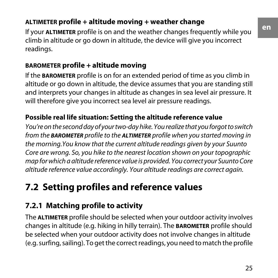### **ALTIMETER profile + altitude moving + weather change**

If your **ALTIMETER** profile is on and the weather changes frequently while you climb in altitude or go down in altitude, the device will give you incorrect readings.

### **BAROMETER profile + altitude moving**

If the **BAROMETER** profile is on for an extended period of time as you climb in altitude or go down in altitude, the device assumes that you are standing still and interprets your changes in altitude as changes in sea level air pressure. It will therefore give you incorrect sea level air pressure readings.

### **Possible real life situation: Setting the altitude reference value**

You're on the second day of your two-day hike. You realize that you forgot to switch from the *BAROMETER* profile to the *ALTIMETER* profile when you started moving in the morning.You know that the current altitude readings given by your Suunto Core are wrong. So, you hike to the nearest location shown on your topographic map for which a altitude reference value is provided. You correct your Suunto Core altitude reference value accordingly. Your altitude readings are correct again.

# <span id="page-24-1"></span><span id="page-24-0"></span>**7.2 Setting profiles and reference values**

## <span id="page-24-2"></span>**7.2.1 Matching profile to activity**

The **ALTIMETER** profile should be selected when your outdoor activity involves changes in altitude (e.g. hiking in hilly terrain). The **BAROMETER** profile should be selected when your outdoor activity does not involve changes in altitude (e.g. surfing, sailing). To get the correct readings, you need to match the profile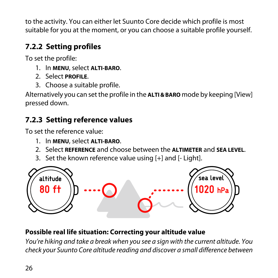to the activity. You can either let Suunto Core decide which profile is most suitable for you at the moment, or you can choose a suitable profile yourself.

## <span id="page-25-0"></span>**7.2.2 Setting profiles**

<span id="page-25-2"></span>To set the profile:

- 1. In **MENU**, select **ALTI-BARO**.
- 2. Select **PROFILE**.
- 3. Choose a suitable profile.

<span id="page-25-1"></span>Alternatively you can set the profile in the **ALTI & BARO** mode by keeping [View] pressed down.

### <span id="page-25-3"></span>**7.2.3 Setting reference values**

To set the reference value:

- 1. In **MENU**, select **ALTI-BARO**.
- 2. Select **REFERENCE** and choose between the **ALTIMETER** and **SEA LEVEL**.
- 3. Set the known reference value using [+] and [- Light].



### **Possible real life situation: Correcting your altitude value**

You're hiking and take a break when you see a sign with the current altitude. You check your Suunto Core altitude reading and discover a small difference between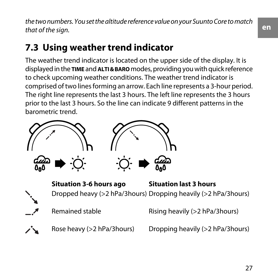the two numbers. You set the altitude reference value on your Suunto Core to match that of the sign.

# <span id="page-26-0"></span>**7.3 Using weather trend indicator**

<span id="page-26-1"></span>The weather trend indicator is located on the upper side of the display. It is displayed in the **TIME** and **ALTI & BARO** modes, providing you with quick reference to check upcoming weather conditions. The weather trend indicator is comprised of two lines forming an arrow. Each line represents a 3-hour period. The right line represents the last 3 hours. The left line represents the 3 hours prior to the last 3 hours. So the line can indicate 9 different patterns in the barometric trend.



**Situation 3-6 hours ago Situation last 3 hours** Dropped heavy (>2 hPa/3hours) Dropping heavily (>2 hPa/3hours)

Remained stable Rising heavily (>2 hPa/3hours)



Rose heavy (>2 hPa/3hours) Dropping heavily (>2 hPa/3hours)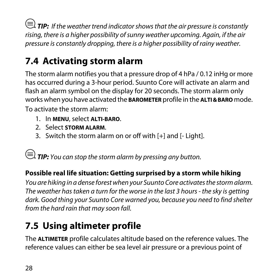$\textcircled{\texttt{f}}$  **TIP:** If the weather trend indicator shows that the air pressure is constantly rising, there is a higher possibility of sunny weather upcoming. Again, if the air pressure is constantly dropping, there is a higher possibility of rainy weather.

# <span id="page-27-0"></span>**7.4 Activating storm alarm**

<span id="page-27-3"></span>The storm alarm notifies you that a pressure drop of 4 hPa / 0.12 inHg or more has occurred during a 3-hour period. Suunto Core will activate an alarm and flash an alarm symbol on the display for 20 seconds. The storm alarm only works when you have activated the **BAROMETER** profile in the **ALTI & BARO** mode. To activate the storm alarm:

- 1. In **MENU**, select **ALTI-BARO**.
- 2. Select **STORM ALARM**.
- 3. Switch the storm alarm on or off with [+] and [- Light].

**E** TIP: You can stop the storm alarm by pressing any button.

### **Possible real life situation: Getting surprised by a storm while hiking**

<span id="page-27-1"></span>You are hiking in a dense forest when your Suunto Core activates the storm alarm. The weather has taken a turn for the worse in the last 3 hours - the sky is getting dark. Good thing your Suunto Core warned you, because you need to find shelter from the hard rain that may soon fall.

# <span id="page-27-2"></span>**7.5 Using altimeter profile**

The **ALTIMETER** profile calculates altitude based on the reference values. The reference values can either be sea level air pressure or a previous point of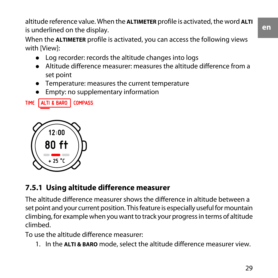altitude reference value. When the **ALTIMETER** profile is activated, the word **ALTI** is underlined on the display. **en**

When the **ALTIMETER** profile is activated, you can access the following views with [View]:

- Log recorder: records the altitude changes into logs
- Altitude difference measurer: measures the altitude difference from a set point
- Temperature: measures the current temperature
- Empty: no supplementary information

TIME ALTI & BARO COMPASS



### <span id="page-28-1"></span><span id="page-28-0"></span>**7.5.1 Using altitude difference measurer**

The altitude difference measurer shows the difference in altitude between a set point and your current position. This feature is especially useful for mountain climbing, for example when you want to track your progress in terms of altitude climbed.

To use the altitude difference measurer:

1. In the **ALTI & BARO** mode, select the altitude difference measurer view.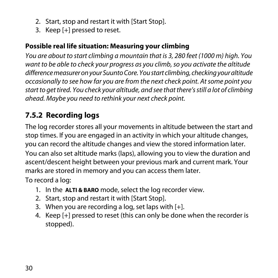- 2. Start, stop and restart it with [Start Stop].
- 3. Keep [+] pressed to reset.

#### **Possible real life situation: Measuring your climbing**

You are about to start climbing a mountain that is 3, 280 feet (1000 m) high. You want to be able to check your progress as you climb, so you activate the altitude difference measurer on your Suunto Core. You start climbing, checking your altitude occasionally to see how far you are from the next check point. At some point you start to get tired. You check your altitude, and see that there's still a lot of climbing ahead. Maybe you need to rethink your next check point.

### <span id="page-29-1"></span><span id="page-29-0"></span>**7.5.2 Recording logs**

The log recorder stores all your movements in altitude between the start and stop times. If you are engaged in an activity in which your altitude changes, you can record the altitude changes and view the stored information later. You can also set altitude marks (laps), allowing you to view the duration and ascent/descent height between your previous mark and current mark. Your marks are stored in memory and you can access them later.

To record a log:

- 1. In the **ALTI & BARO** mode, select the log recorder view.
- 2. Start, stop and restart it with [Start Stop].
- 3. When you are recording a log, set laps with  $[+]$ .
- 4. Keep [+] pressed to reset (this can only be done when the recorder is stopped).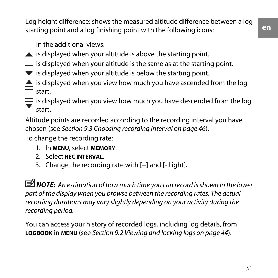Log height difference: shows the measured altitude difference between a log starting point and a log finishing point with the following icons:

In the additional views:

- $\triangle$  is displayed when your altitude is above the starting point.
- $\equiv$  is displayed when your altitude is the same as at the starting point.
- $\blacktriangledown$  is displayed when your altitude is below the starting point.
- **is displayed when you view how much you have ascended from the log** start.
- $\equiv$  is displayed when you view how much you have descended from the log start.

Altitude points are recorded according to the recording interval you have chosen (see [Section 9.3 Choosing recording interval on page 46](#page-45-1)).

To change the recording rate:

- 1. In **MENU**, select **MEMORY**.
- 2. Select **REC INTERVAL**.
- 3. Change the recording rate with [+] and [- Light].

*MOTE:* An estimation of how much time you can record is shown in the lower part of the display when you browse between the recording rates. The actual recording durations may vary slightly depending on your activity during the recording period.

You can access your history of recorded logs, including log details, from **LOGBOOK** in **MENU** (see [Section 9.2 Viewing and locking logs on page 44](#page-43-2)).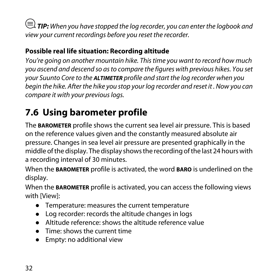$\textbf{D} \equiv 1$  **TIP:** When you have stopped the log recorder, you can enter the logbook and view your current recordings before you reset the recorder.

### **Possible real life situation: Recording altitude**

You're going on another mountain hike. This time you want to record how much you ascend and descend so as to compare the figures with previous hikes. You set your Suunto Core to the *ALTIMETER* profile and start the log recorder when you begin the hike. After the hike you stop your log recorder and reset it . Now you can compare it with your previous logs.

# <span id="page-31-1"></span><span id="page-31-0"></span>**7.6 Using barometer profile**

The **BAROMETER** profile shows the current sea level air pressure. This is based on the reference values given and the constantly measured absolute air pressure. Changes in sea level air pressure are presented graphically in the middle of the display. The display shows the recording of the last 24 hours with a recording interval of 30 minutes.

When the **BAROMETER** profile is activated, the word **BARO** is underlined on the display.

When the **BAROMETER** profile is activated, you can access the following views with [View]:

- Temperature: measures the current temperature
- Log recorder: records the altitude changes in logs
- Altitude reference: shows the altitude reference value
- Time: shows the current time
- Empty: no additional view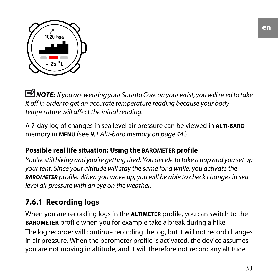

 *NOTE:* If you are wearing your Suunto Core on your wrist, you will need to take it off in order to get an accurate temperature reading because your body temperature will affect the initial reading.

A 7-day log of changes in sea level air pressure can be viewed in **ALTI-BARO** memory in **MENU** (see [9.1 Alti-baro memory on page 44](#page-43-1).)

#### **Possible real life situation: Using the BAROMETER profile**

<span id="page-32-0"></span>You're still hiking and you're getting tired. You decide to take a nap and you set up your tent. Since your altitude will stay the same for a while, you activate the *BAROMETER* profile. When you wake up, you will be able to check changes in sea level air pressure with an eye on the weather.

### <span id="page-32-1"></span>**7.6.1 Recording logs**

When you are recording logs in the **ALTIMETER** profile, you can switch to the **BAROMETER** profile when you for example take a break during a hike.

The log recorder will continue recording the log, but it will not record changes in air pressure. When the barometer profile is activated, the device assumes you are not moving in altitude, and it will therefore not record any altitude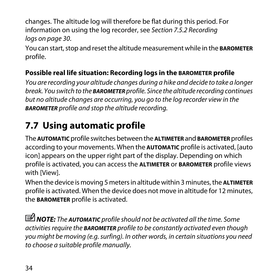changes. The altitude log will therefore be flat during this period. For information on using the log recorder, see [Section 7.5.2 Recording](#page-29-0) [logs on page 30](#page-29-0).

You can start, stop and reset the altitude measurement while in the **BAROMETER** profile.

### **Possible real life situation: Recording logs in the BAROMETER profile**

You are recording your altitude changes during a hike and decide to take a longer break. You switch to the *BAROMETER* profile. Since the altitude recording continues but no altitude changes are occurring, you go to the log recorder view in the *BAROMETER* profile and stop the altitude recording.

# <span id="page-33-1"></span><span id="page-33-0"></span>**7.7 Using automatic profile**

The **AUTOMATIC** profile switches between the **ALTIMETER** and **BAROMETER** profiles according to your movements. When the **AUTOMATIC** profile is activated, [auto icon] appears on the upper right part of the display. Depending on which profile is activated, you can access the **ALTIMETER** or **BAROMETER** profile views with [View].

When the device is moving 5 meters in altitude within 3 minutes, the **ALTIMETER** profile is activated. When the device does not move in altitude for 12 minutes, the **BAROMETER** profile is activated.

 *NOTE:* The *AUTOMATIC* profile should not be activated all the time. Some activities require the *BAROMETER* profile to be constantly activated even though you might be moving (e.g. surfing). In other words, in certain situations you need to choose a suitable profile manually.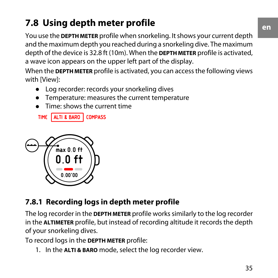# <span id="page-34-0"></span>**7.8 Using depth meter profile**

<span id="page-34-2"></span>You use the **DEPTH METER** profile when snorkeling. It shows your current depth and the maximum depth you reached during a snorkeling dive. The maximum depth of the device is 32.8 ft (10m). When the **DEPTH METER** profile is activated, a wave icon appears on the upper left part of the display.

When the **DEPTH METER** profile is activated, you can access the following views with [View]:

- Log recorder: records your snorkeling dives
- Temperature: measures the current temperature
- Time: shows the current time

TIME ALTI & BARO COMPASS



### <span id="page-34-3"></span><span id="page-34-1"></span>**7.8.1 Recording logs in depth meter profile**

The log recorder in the **DEPTH METER** profile works similarly to the log recorder in the **ALTIMETER** profile, but instead of recording altitude it records the depth of your snorkeling dives.

To record logs in the **DEPTH METER** profile:

1. In the **ALTI & BARO** mode, select the log recorder view.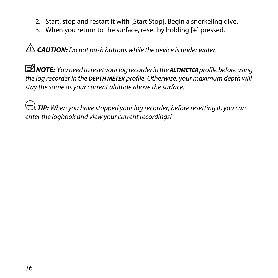- 2. Start, stop and restart it with [Start Stop]. Begin a snorkeling dive.
- 3. When you return to the surface, reset by holding [+] pressed.

 *CAUTION:* Do not push buttons while the device is under water.

 *NOTE:* You need to reset your log recorder in the *ALTIMETER* profile before using the log recorder in the *DEPTH METER* profile. Otherwise, your maximum depth will stay the same as your current altitude above the surface.

 $\textcircled{\texttt{f}}$  **TIP:** When you have stopped your log recorder, before resetting it, you can enter the logbook and view your current recordings!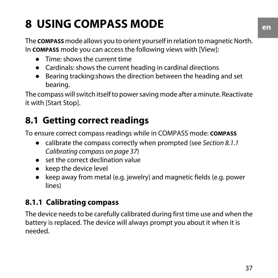# <span id="page-36-0"></span>**8 USING COMPASS MODE**

<span id="page-36-5"></span>The **COMPASS** mode allows you to orient yourself in relation to magnetic North. In **COMPASS** mode you can access the following views with [View]:

- Time: shows the current time
- Cardinals: shows the current heading in cardinal directions
- Bearing tracking:shows the direction between the heading and set bearing.

<span id="page-36-1"></span>The compass will switch itself to power saving mode after a minute. Reactivate it with [Start Stop].

# <span id="page-36-4"></span>**8.1 Getting correct readings**

To ensure correct compass readings while in COMPASS mode: **COMPASS**

- calibrate the compass correctly when prompted (see [Section 8.1.1](#page-36-2)) [Calibrating compass on page 37](#page-36-2))
- set the correct declination value
- keep the device level
- <span id="page-36-2"></span>● keep away from metal (e.g. jewelry) and magnetic fields (e.g. power lines)

## <span id="page-36-3"></span>**8.1.1 Calibrating compass**

The device needs to be carefully calibrated during first time use and when the battery is replaced. The device will always prompt you about it when it is needed.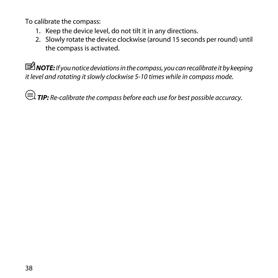To calibrate the compass:

- 1. Keep the device level, do not tilt it in any directions.
- 2. Slowly rotate the device clockwise (around 15 seconds per round) until the compass is activated.

 *NOTE:* If you notice deviations in the compass, you can recalibrate it by keeping it level and rotating it slowly clockwise 5-10 times while in compass mode.

**E** TIP: Re-calibrate the compass before each use for best possible accuracy.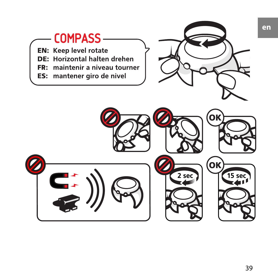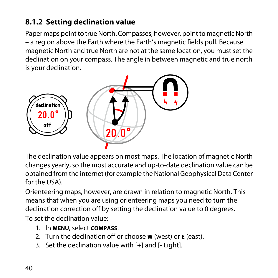### <span id="page-39-0"></span>**8.1.2 Setting declination value**

<span id="page-39-1"></span>Paper maps point to true North. Compasses, however, point to magnetic North – a region above the Earth where the Earth's magnetic fields pull. Because magnetic North and true North are not at the same location, you must set the declination on your compass. The angle in between magnetic and true north is your declination.



The declination value appears on most maps. The location of magnetic North changes yearly, so the most accurate and up-to-date declination value can be obtained from the internet (for example the National Geophysical Data Center for the USA).

Orienteering maps, however, are drawn in relation to magnetic North. This means that when you are using orienteering maps you need to turn the declination correction off by setting the declination value to 0 degrees. To set the declination value:

- 1. In **MENU**, select **COMPASS**.
- 2. Turn the declination off or choose **W** (west) or **E** (east).
- 3. Set the declination value with [+] and [- Light].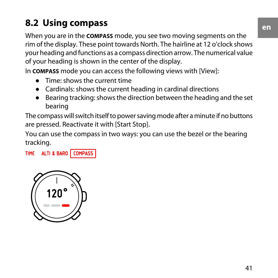# <span id="page-40-0"></span>**8.2 Using compass**

<span id="page-40-1"></span>When you are in the **COMPASS** mode, you see two moving segments on the rim of the display. These point towards North. The hairline at 12 o'clock shows your heading and functions as a compass direction arrow. The numerical value of your heading is shown in the center of the display.

In **COMPASS** mode you can access the following views with [View]:

- Time: shows the current time
- Cardinals: shows the current heading in cardinal directions
- Bearing tracking: shows the direction between the heading and the set bearing

The compass will switch itself to power saving mode after a minute if no buttons are pressed. Reactivate it with [Start Stop].

You can use the compass in two ways: you can use the bezel or the bearing tracking.

TIME ALTI & BARO COMPASS

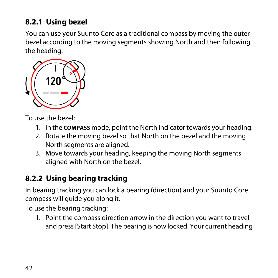### <span id="page-41-0"></span>**8.2.1 Using bezel**

<span id="page-41-3"></span>You can use your Suunto Core as a traditional compass by moving the outer bezel according to the moving segments showing North and then following the heading.



To use the bezel:

- 1. In the **COMPASS** mode, point the North indicator towards your heading.
- 2. Rotate the moving bezel so that North on the bezel and the moving North segments are aligned.
- <span id="page-41-1"></span>3. Move towards your heading, keeping the moving North segments aligned with North on the bezel.

### <span id="page-41-2"></span>**8.2.2 Using bearing tracking**

In bearing tracking you can lock a bearing (direction) and your Suunto Core compass will guide you along it.

To use the bearing tracking:

1. Point the compass direction arrow in the direction you want to travel and press [Start Stop]. The bearing is now locked. Your current heading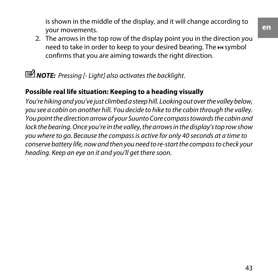is shown in the middle of the display, and it will change according to your movements.

2. The arrows in the top row of the display point you in the direction you need to take in order to keep to your desired bearing. The  $M$  symbol confirms that you are aiming towards the right direction.

*<u>M</u> NOTE: Pressing [- Light] also activates the backlight.* 

### **Possible real life situation: Keeping to a heading visually**

You're hiking and you've just climbed a steep hill. Looking out over the valley below, you see a cabin on another hill. You decide to hike to the cabin through the valley. You point the direction arrow of your Suunto Core compass towards the cabin and lock the bearing. Once you're in the valley, the arrows in the display's top row show you where to go. Because the compass is active for only 40 seconds at a time to conserve battery life, now and then you need to re-start the compass to check your heading. Keep an eye on it and you'll get there soon.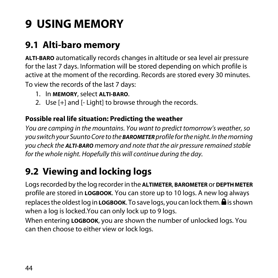# <span id="page-43-0"></span>**9 USING MEMORY**

# <span id="page-43-1"></span>**9.1 Alti-baro memory**

<span id="page-43-4"></span>**ALTI-BARO** automatically records changes in altitude or sea level air pressure for the last 7 days. Information will be stored depending on which profile is active at the moment of the recording. Records are stored every 30 minutes. To view the records of the last 7 days:

- 1. In **MEMORY**, select **ALTI-BARO**.
- 2. Use [+] and [- Light] to browse through the records.

#### **Possible real life situation: Predicting the weather**

<span id="page-43-2"></span>You are camping in the mountains. You want to predict tomorrow's weather, so you switch your Suunto Core to the *BAROMETER* profile for the night. In the morning you check the *ALTI-BARO* memory and note that the air pressure remained stable for the whole night. Hopefully this will continue during the day.

# <span id="page-43-3"></span>**9.2 Viewing and locking logs**

Logs recorded by the log recorder in the **ALTIMETER**, **BAROMETER** or **DEPTH METER** profile are stored in **LOGBOOK**. You can store up to 10 logs. A new log always replaces the oldest log in **LOGBOOK**. To save logs, you can lock them.  $\mathbf{\triangle}$  is shown when a log is locked.You can only lock up to 9 logs.

When entering **LOGBOOK**, you are shown the number of unlocked logs. You can then choose to either view or lock logs.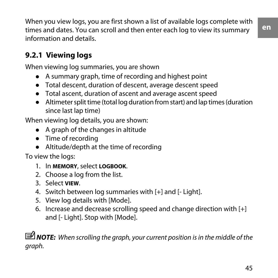**en**

When you view logs, you are first shown a list of available logs complete with times and dates. You can scroll and then enter each log to view its summary information and details.

### <span id="page-44-1"></span><span id="page-44-0"></span>**9.2.1 Viewing logs**

When viewing log summaries, you are shown

- A summary graph, time of recording and highest point
- Total descent, duration of descent, average descent speed
- Total ascent, duration of ascent and average ascent speed
- Altimeter split time (total log duration from start) and lap times (duration since last lap time)

When viewing log details, you are shown:

- A graph of the changes in altitude
- Time of recording
- Altitude/depth at the time of recording

To view the logs:

- 1. In **MEMORY**, select **LOGBOOK**.
- 2. Choose a log from the list.
- 3. Select **VIEW**.
- 4. Switch between log summaries with [+] and [- Light].
- 5. View log details with [Mode].
- 6. Increase and decrease scrolling speed and change direction with [+] and [- Light]. Stop with [Mode].

*MOTE:* When scrolling the graph, your current position is in the middle of the graph.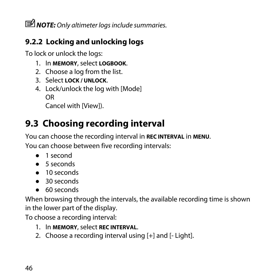*MOTE: Only altimeter logs include summaries.* 

## <span id="page-45-0"></span>**9.2.2 Locking and unlocking logs**

<span id="page-45-2"></span>To lock or unlock the logs:

- 1. In **MEMORY**, select **LOGBOOK**.
- 2. Choose a log from the list.
- 3. Select **LOCK / UNLOCK**.
- 4. Lock/unlock the log with [Mode] OR

Cancel with [View]).

# <span id="page-45-3"></span><span id="page-45-1"></span>**9.3 Choosing recording interval**

You can choose the recording interval in **REC INTERVAL** in **MENU**.

You can choose between five recording intervals:

- 1 second
- 5 seconds
- 10 seconds
- 30 seconds
- 60 seconds

When browsing through the intervals, the available recording time is shown in the lower part of the display.

To choose a recording interval:

- 1. In **MEMORY**, select **REC INTERVAL**.
- 2. Choose a recording interval using [+] and [- Light].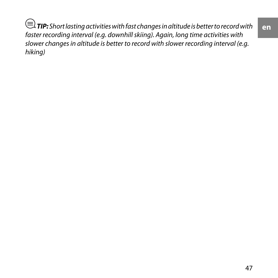$\textcircled{\exists}$  **TIP:** Short lasting activities with fast changes in altitude is better to record with faster recording interval (e.g. downhill skiing). Again, long time activities with slower changes in altitude is better to record with slower recording interval (e.g. hiking)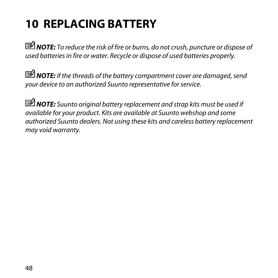# <span id="page-47-0"></span>**10 REPLACING BATTERY**

<span id="page-47-1"></span>*MOTE:* To reduce the risk of fire or burns, do not crush, puncture or dispose of used batteries in fire or water. Recycle or dispose of used batteries properly.

 *NOTE:* If the threads of the battery compartment cover are damaged, send your device to an authorized Suunto representative for service.

 *NOTE:* Suunto original battery replacement and strap kits must be used if available for your product. Kits are available at Suunto webshop and some authorized Suunto dealers. Not using these kits and careless battery replacement may void warranty.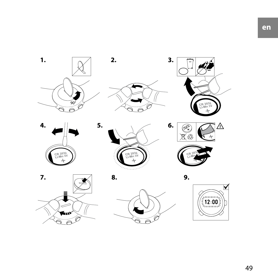

8.

7.



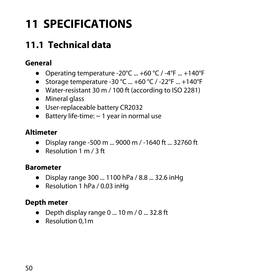# <span id="page-49-0"></span>**11 SPECIFICATIONS**

# <span id="page-49-2"></span><span id="page-49-1"></span>**11.1 Technical data**

### **General**

- Operating temperature -20 $^{\circ}$ C ... +60  $^{\circ}$ C / -4 $^{\circ}$ F ... +140 $^{\circ}$ F
- Storage temperature -30 °C  $...$  +60 °C / -22 °F  $...$  +140 °F
- Water-resistant 30 m / 100 ft (according to ISO 2281)
- Mineral glass
- User-replaceable battery CR2032
- Battery life-time:  $\sim$  1 year in normal use

### **Altimeter**

- Display range -500 m ... 9000 m / -1640 ft ... 32760 ft
- Resolution 1 m / 3 ft

### **Barometer**

- Display range 300 ... 1100 hPa / 8.8 ... 32.6 inHg
- Resolution 1 hPa / 0.03 inHq

### **Depth meter**

- Depth display range 0 ... 10 m / 0 ... 32.8 ft
- Resolution 0.1m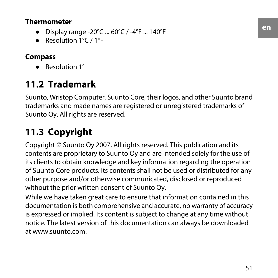#### **Thermometer**

- Display range -20°C ... 60°C / -4°F ... 140°F
- Resolution 1°C / 1°F

#### <span id="page-50-0"></span>**Compass**

● Resolution 1°

## <span id="page-50-2"></span>**11.2 Trademark**

<span id="page-50-1"></span>Suunto, Wristop Computer, Suunto Core, their logos, and other Suunto brand trademarks and made names are registered or unregistered trademarks of Suunto Oy. All rights are reserved.

## **11.3 Copyright**

Copyright © Suunto Oy 2007. All rights reserved. This publication and its contents are proprietary to Suunto Oy and are intended solely for the use of its clients to obtain knowledge and key information regarding the operation of Suunto Core products. Its contents shall not be used or distributed for any other purpose and/or otherwise communicated, disclosed or reproduced without the prior written consent of Suunto Oy.

While we have taken great care to ensure that information contained in this documentation is both comprehensive and accurate, no warranty of accuracy is expressed or implied. Its content is subject to change at any time without notice. The latest version of this documentation can always be downloaded at www.suunto.com.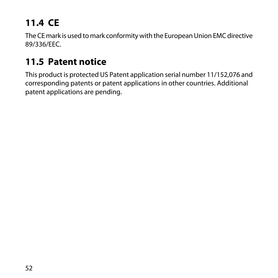# <span id="page-51-0"></span>**11.4 CE**

<span id="page-51-2"></span>The CE mark is used to mark conformity with the European Union EMC directive 89/336/EEC.

## <span id="page-51-1"></span>**11.5 Patent notice**

This product is protected US Patent application serial number 11/152,076 and corresponding patents or patent applications in other countries. Additional patent applications are pending.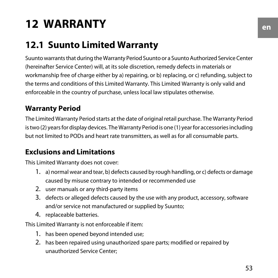# <span id="page-52-0"></span>**12 WARRANTY**

# <span id="page-52-1"></span>**12.1 Suunto Limited Warranty**

Suunto warrants that during the Warranty Period Suunto or a Suunto Authorized Service Center (hereinafter Service Center) will, at its sole discretion, remedy defects in materials or workmanship free of charge either by a) repairing, or b) replacing, or c) refunding, subject to the terms and conditions of this Limited Warranty. This Limited Warranty is only valid and enforceable in the country of purchase, unless local law stipulates otherwise.

### **Warranty Period**

The Limited Warranty Period starts at the date of original retail purchase. The Warranty Period is two (2) years for display devices. The Warranty Period is one (1) year for accessories including but not limited to PODs and heart rate transmitters, as well as for all consumable parts.

### **Exclusions and Limitations**

This Limited Warranty does not cover:

- 1. a) normal wear and tear, b) defects caused by rough handling, or c) defects or damage caused by misuse contrary to intended or recommended use
- 2. user manuals or any third-party items
- 3. defects or alleged defects caused by the use with any product, accessory, software and/or service not manufactured or supplied by Suunto;
- 4. replaceable batteries.

This Limited Warranty is not enforceable if item:

- 1. has been opened beyond intended use;
- 2. has been repaired using unauthorized spare parts; modified or repaired by unauthorized Service Center;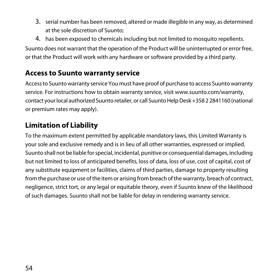- 3. serial number has been removed, altered or made illegible in any way, as determined at the sole discretion of Suunto;
- 4. has been exposed to chemicals including but not limited to mosquito repellents.

Suunto does not warrant that the operation of the Product will be uninterrupted or error free, or that the Product will work with any hardware or software provided by a third party.

#### **Access to Suunto warranty service**

Access to Suunto warranty service You must have proof of purchase to access Suunto warranty service. For instructions how to obtain warranty service, visit www.suunto.com/warranty, contact your local authorized Suunto retailer, or call Suunto Help Desk +358 2 2841160 (national or premium rates may apply).

#### **Limitation of Liability**

To the maximum extent permitted by applicable mandatory laws, this Limited Warranty is your sole and exclusive remedy and is in lieu of all other warranties, expressed or implied. Suunto shall not be liable for special, incidental, punitive or consequential damages, including but not limited to loss of anticipated benefits, loss of data, loss of use, cost of capital, cost of any substitute equipment or facilities, claims of third parties, damage to property resulting from the purchase or use of the item or arising from breach of the warranty, breach of contract, negligence, strict tort, or any legal or equitable theory, even if Suunto knew of the likelihood of such damages. Suunto shall not be liable for delay in rendering warranty service.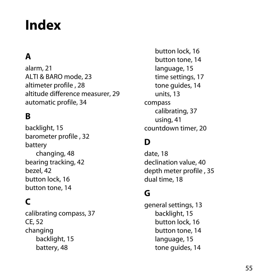# <span id="page-54-0"></span>**Index**

## **A**

alarm, [21](#page-20-1) ALTI & BARO mode, [23](#page-22-2) altimeter profile , [28](#page-27-2) altitude difference measurer, [29](#page-28-1) automatic profile, [34](#page-33-1)

### **B**

backlight, [15](#page-14-2) barometer profile , [32](#page-31-1) battery changing, [48](#page-47-1) bearing tracking, [42](#page-41-2) bezel, [42](#page-41-3) button lock, [16](#page-15-1) button tone, [14](#page-13-3)

### **C**

calibrating compass, [37](#page-36-3) CE, [52](#page-51-2) changing backlight, [15](#page-14-2) battery, [48](#page-47-1)

button lock, [16](#page-15-1) button tone, [14](#page-13-3) language, [15](#page-14-3) time settings, [17](#page-16-2) tone guides, [14](#page-13-4) units, [13](#page-12-3) compass calibrating, [37](#page-36-3) using, [41](#page-40-1) countdown timer, [20](#page-19-2)

### **D**

date, [18](#page-17-3) declination value, [40](#page-39-1) depth meter profile , [35](#page-34-2) dual time, [18](#page-17-4)

### **G**

general settings, [13](#page-12-4) backlight, [15](#page-14-2) button lock, [16](#page-15-1) button tone, [14](#page-13-3) language, [15](#page-14-3) tone guides, [14](#page-13-4)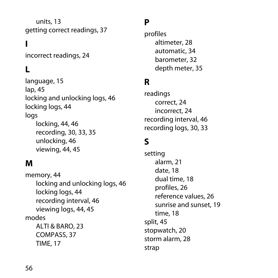units, [13](#page-12-3) getting correct readings, [37](#page-36-4)

## **I**

incorrect readings, [24](#page-23-2)

### **L**

language, [15](#page-14-3) lap, [45](#page-44-1) locking and unlocking logs, [46](#page-45-2) locking logs, [44](#page-43-3) logs locking, [44](#page-43-3), [46](#page-45-2) recording, [30](#page-29-1), [33,](#page-32-1) [35](#page-34-3) unlocking, [46](#page-45-2) viewing, [44](#page-43-3), [45](#page-44-1)

### **M**

memory, [44](#page-43-4) locking and unlocking logs, [46](#page-45-2) locking logs, [44](#page-43-3) recording interval, [46](#page-45-3) viewing logs, [44,](#page-43-3) [45](#page-44-1) modes ALTI & BARO, [23](#page-22-2) COMPASS, [37](#page-36-5) TIME, [17](#page-16-3)

### **P**

profiles altimeter, [28](#page-27-2) automatic, [34](#page-33-1) barometer, [32](#page-31-1) depth meter, [35](#page-34-2)

### **R**

readings correct, [24](#page-23-3) incorrect, [24](#page-23-2) recording interval, [46](#page-45-3) recording logs, [30,](#page-29-1) [33](#page-32-1)

### **S**

setting alarm, [21](#page-20-1) date, [18](#page-17-3) dual time, [18](#page-17-4) profiles, [26](#page-25-2) reference values, [26](#page-25-3) sunrise and sunset, [19](#page-18-1) time, [18](#page-17-5) split, [45](#page-44-1) stopwatch, [20](#page-19-3) storm alarm, [28](#page-27-3) strap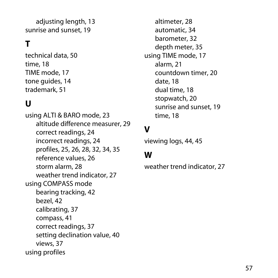adjusting length, [13](#page-12-5) sunrise and sunset, [19](#page-18-1)

## **T**

technical data, [50](#page-49-2) time, [18](#page-17-5) TIME mode, [17](#page-16-3) tone guides, [14](#page-13-4) trademark, [51](#page-50-2)

### **U**

using ALTI & BARO mode, [23](#page-22-2) altitude difference measurer, [29](#page-28-1) correct readings, [24](#page-23-3) incorrect readings, [24](#page-23-2) profiles, [25,](#page-24-2) [26](#page-25-2), [28,](#page-27-2) [32](#page-31-1), [34,](#page-33-1) [35](#page-34-2) reference values, [26](#page-25-3) storm alarm, [28](#page-27-3) weather trend indicator, [27](#page-26-1) using COMPASS mode bearing tracking, [42](#page-41-2) bezel, [42](#page-41-3) calibrating, [37](#page-36-3) compass, [41](#page-40-1) correct readings, [37](#page-36-4) setting declination value, [40](#page-39-1) views, [37](#page-36-5) using profiles

altimeter, [28](#page-27-2) automatic, [34](#page-33-1) barometer, [32](#page-31-1) depth meter, [35](#page-34-2) using TIME mode, [17](#page-16-3) alarm, [21](#page-20-1) countdown timer, [20](#page-19-2) date, [18](#page-17-3) dual time, [18](#page-17-4) stopwatch, [20](#page-19-3) sunrise and sunset, [19](#page-18-1) time, [18](#page-17-5)

## **V**

viewing logs, [44,](#page-43-3) [45](#page-44-1)

#### **W**

weather trend indicator, [27](#page-26-1)